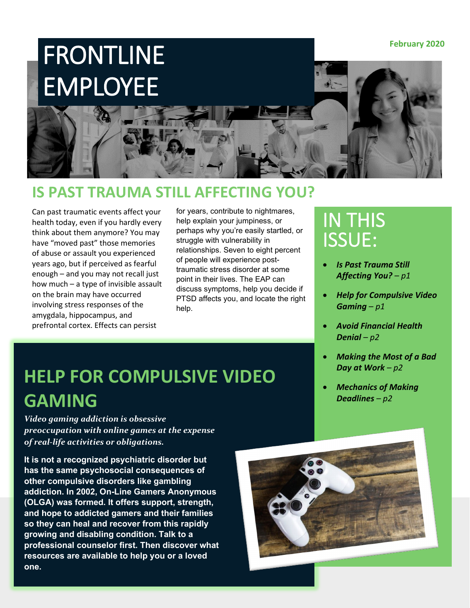

#### **IS PAST TRAUMA STILL AFFECTING YOU?**

Can past traumatic events affect your health today, even if you hardly every think about them anymore? You may have "moved past" those memories of abuse or assault you experienced years ago, but if perceived as fearful enough – and you may not recall just how much – a type of invisible assault on the brain may have occurred involving stress responses of the amygdala, hippocampus, and prefrontal cortex. Effects can persist

for years, contribute to nightmares, help explain your jumpiness, or perhaps why you're easily startled, or struggle with vulnerability in relationships. Seven to eight percent of people will experience posttraumatic stress disorder at some point in their lives. The EAP can discuss symptoms, help you decide if PTSD affects you, and locate the right help.

### IN THIS ISSUE:

- *Is Past Trauma Still Affecting You? – p1*
- *Help for Compulsive Video Gaming – p1*
- *Avoid Financial Health Denial – p2*
- *Making the Most of a Bad Day at Work – p2*
- *Mechanics of Making Deadlines – p2*

## **HELP FOR COMPULSIVE VIDEO GAMING**

*Video gaming addiction is obsessive preoccupation with online games at the expense of real-life activities or obligations.*

**It is not a recognized psychiatric disorder but has the same psychosocial consequences of other compulsive disorders like gambling addiction. In 2002, On-Line Gamers Anonymous (OLGA) was formed. It offers support, strength, and hope to addicted gamers and their families so they can heal and recover from this rapidly growing and disabling condition. Talk to a professional counselor first. Then discover what resources are available to help you or a loved one.**